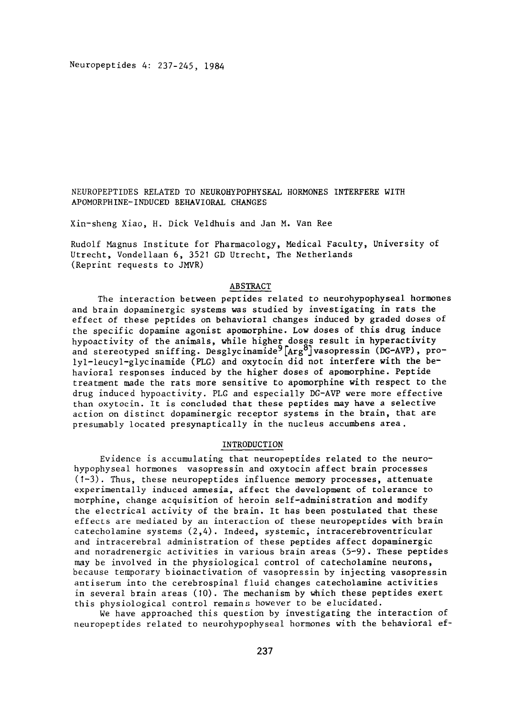Neuropeptides 4: 237-245, 1984

NEUROPEPTIDES RELATED TO NEUROHYPOPHYSEAL HORMONES INTERFERE WITH APOMORPHINE-INDUCED BEHAVIORAL CHANGES

Xin-sheng Xiao, H. Dick Veldhuis and Jan M. Van Ree

Rudolf Magnus Institute for Pharmacology, Medical Faculty, University of Utrecht, Vondellaan 6, 3521 GD Utrecht, The Netherlands (Reprint requests to JMVR)

## ABSTRACT

The interaction between peptides related to neurohypophyseal hormones and brain dopaminergic systems was studied by investigating in rats the effect of these peptides on behavioral changes induced by graded doses of the specific dopamine agonist apomorphine. Low doses of this drug induce hypoactivity of the animals, while higher doses result in hyperactivity and stereotyped sniffing. Desglycinamide<sup>y</sup>[Arg<sup>o</sup>]vasopressin (DG-AVP), prolyl-leucyl-glycinamide (PLG) and oxytocin did not interfere with the behavioral responses induced by the higher doses of apomorphine. Peptide treatment made the rats more sensitive to apomorphine with respect to the drug induced hypoactivity. PLG and especially DG-AVP were more effective than oxytocin. It is concluded that these peptides may have a selective action on distinct dopaminergic receptor systems in the brain, that are presumably located presynaptically in the nucleus accumbens area.

# INTRODUCTION

Evidence is accumulating that neuropeptides related to the neurohypophyseal hormones vasopressin and oxytocin affect brain processes  $(1-3)$ . Thus, these neuropeptides influence memory processes, attenuate experimentally induced amnesia, affect the development of tolerance to morphine, change acquisition of heroin self-administration and modify the electrical activity of the brain. It has been postulated that these effects are mediated by an interaction of these neuropeptides with brain catecholamine systems (2,4). Indeed, systemic, intracerebroventricular and intracerebral administration of these peptides affect dopaminergic and noradrenergic activities in various brain areas (5-9). These peptides may be involved in the physiological control of catecholamine neurons, because temporary bioinactivation of vasopressin by injecting vasopressin antiserum into the cerebrospinal fluid changes catecholamine activities in several brain areas (10). The mechanism by which these peptides exert this physiological control remains however to be elucidated.

We have approached this question by investigating the interaction of neuropeptides related to neurohypophyseal hormones with the behavioral ef-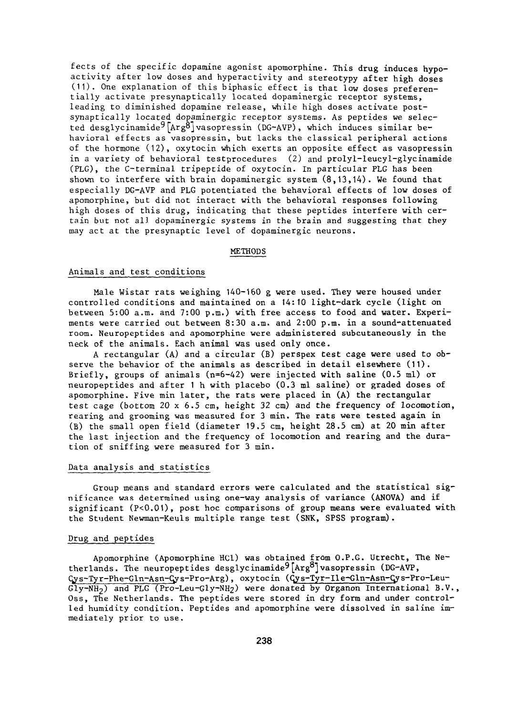fects of the specific dopamine agonist apomorphine. This drug induces hypoactivity after low doses and hyperactivity and stereotypy after high doses (11). One explanation of this biphasic effect is that low doses preferentially activate presynaptically located dopaminergic receptor systems, leading to diminished dopamine release, while high doses activate postsynaptically located dopaminergic receptor systems. As peptides we selected desglycinamide<sup>9</sup>[Arg8]vasopressin (DG-AVP), which induces similar behavioral effects as vasopressin, but lacks the classical peripheral actions of the hormone  $(12)$ , oxytocin which exerts an opposite effect as vasopressin in a variety of behavioral testprocedures (2) and prolyl-leucyl-glycinamide (PLG), the C-terminal tripeptide of oxytocin. In particular PLG has been shown to interfere with brain dopaminergic system (8,13,14). We found that especially DG-AVP and PLG potentiated the behavioral effects of **low** doses of apomorphine, but did not interact with the behavioral responses following high doses of this drug, indicating that these peptides interfere with certain but not all dopaminergic systems in the brain and suggesting that they may act at the presynaptic level of dopaminergic neurons.

#### METHODS

### Animals and test conditions

Male Wistar rats weighing 140-160 g were used. They were housed under controlled conditions and maintained on a 14:lO light-dark cycle (light on between 5:00 a.m. and 7:00 p.m.) with free access to food and water. Experiments were carried out between 8:30 a.m. and 2:00 p.m. in a sound-attenuated room. Neuropeptides and apomorphine were administered subcutaneously in the neck of the animals. Each animal was used only once.

A rectangular (A) and a circular (B) perspex test cage were used to observe the behavior of the animals as described in detail elsewhere (11). Briefly, groups of animals (n=6-42) were injected with saline (0.5 ml) or neuropeptides and after 1 h with placebo (0.3 ml saline) or graded doses of apomorphine. Five min later, the rats were placed in (A) the rectangular test cage (bottom 20 x 6.5 cm, height 32 cm) and the frequency of locomotion, rearing and grooming was measured for 3 min. The rats were tested again in (B) the small open field (diameter 19.5 cm, height 28.5 cm) at 20 min after the last injection and the frequency of locomotion and rearing and the duration of sniffing were measured for 3 min.

### Data analysis and statistics

Group means and standard errors were calculated and the statistical significance was determined using one-way analysis of variance (ANOVA) and if significant (P<0.01), post hoc comparisons of group means were evaluated with the Student Newman-Keuls multiple range test (SNK, SPSS program).

### Drug and peptides

Apomorphine (Apomorphine HCl) was obtained from O.P.G. Utrecht, The Netherlands. The neuropeptides desglycinamide<sup>9</sup>[Arg<sup>8</sup>] vasopressin (DG-AVP, Cys-Tyr-Phe-Gln-Asn-Cys-Pro-Arg), oxytocin (Cys-Tyr-Ile-Gln-Asn-Cys-Pro-Leu-Gly-NH2) and PLG (Pro-Leu-Gly-NH2) were donated by Organon International B.V., Oss, The Netherlands. The peptides were stored in dry form and under controlled humidity condition. Peptides and apomorphine were dissolved in saline immediately prior to use.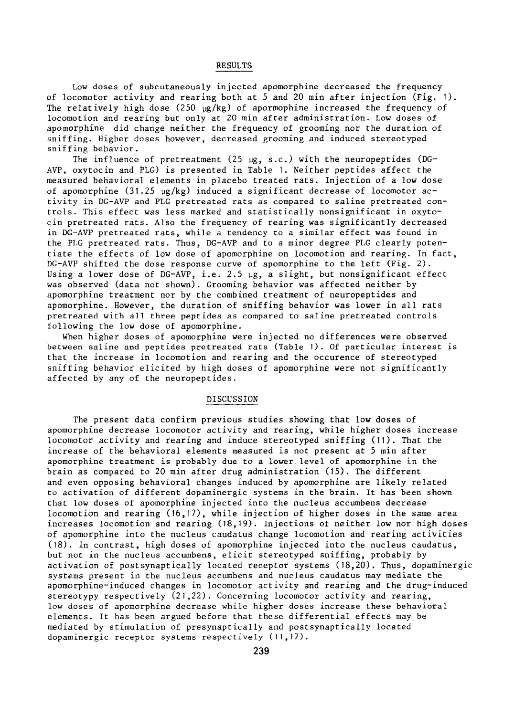# RESULTS

Low doses of subcutaneously injected apomorphine decreased the frequency of locomotor activity and rearing both at 5 and 20 min after injection (Fig. I). The relatively high dose (250  $\mu$ g/kg) of apormophine increased the frequency of locomotion and rearing but only at 20 min after administration. Low doses of apomorphine did change neither the frequency of grooming nor the duration of sniffing. Higher doses however, decreased grooming and induced stereotyped sniffing behavior.

The influence of pretreatment (25  $\mu$ g, s.c.) with the neuropeptides (DG-AVP, oxytocin and PLG) is presented in Table 1. Neither peptides affect the measured behavioral elements in placebo treated rats. Injection of a low dose of apomorphine (31.25  $\mu$ g/kg) induced a significant decrease of locomotor activity in DG-AVP and PLG pretreated rats as compared to saline pretreated controls. This effect was less marked and statistically nonsignificant in oxytocin pretreated rats. Also the frequency of rearing was significantly decreased in DG-AVP pretreated rats, while a tendency to a similar effect was found in the PLG pretreated rats. Thus, DG-AVP and to a minor degree PLG clearly potentiate the effects of low dose of apomorphine on locomotion and rearing. In fact, DG-AVP shifted the dose response curve of apomorphine to the left (Fig. 2). Using a lower dose of DG-AVP, i.e. 2.5  $\mu$ g, a slight, but nonsignificant effect was observed (data not shown). Grooming behavior was affected neither by apomorphine treatment nor by the combined treatment of neuropeptides and apomorphine. However, the duration of sniffing behavior was lower in all rats pretreated with all three peptides as compared to saline pretreated controls following the low dose of apomorphine.

When higher doses of apomorphine were injected no differences were observed between saline and peptides pretreated rats (Table 1). Of particular interest is that the increase in locomotion and rearing and the occurence of stereotyped sniffing behavior elicited by high doses of apomorphine were not significantly affected by any of the neuropeptides.

# DISCUSSION

The present data confirm previous studies showing that low doses of apomorphine decrease locomotor activity and rearing, while higher doses increase locomotor activity and rearing and induce stereotyped sniffing (11). That the increase of the behavioral elements measured is not present at 5 min after apomorphine treatment is probably due to a lower.level of apomorphine in the brain as compared to 20 min after drug administration (15). The different and even opposing behavioral changes induced by apomorphine are likely related to activation of different dopaminergic systems in the brain. It has been shown that low doses of apomorphine injected into the nucleus accumbens decrease locomotion and rearing  $(16,17)$ , while injection of higher doses in the same area increases locomotion and rearing (18,19). Injections of neither low nor high doses of apomorphine into the nucleus caudatus change locomotion and rearing activities (18). In contrast, high doses of apomorphine injected into the nucleus caudatus, but not in the nucleus accumbens, elicit stereotyped sniffing, probably by activation of postsynaptically located receptor systems (18,20). Thus, dopaminergic systems present in the nucleus accumbens and nucleus caudatus may mediate the apomorphine-induced changes in locomotor activity and rearing and the drug-induced stereotypy respectively  $(21, 22)$ . Concerning locomotor activity and rearing, low doses of apomorphine decrease while higher doses increase these behavioral elements. It has been argued before that these differential effects may be mediated by stimulation of presynaptically and postsynaptically located dopaminergic receptor systems respectively (11,17).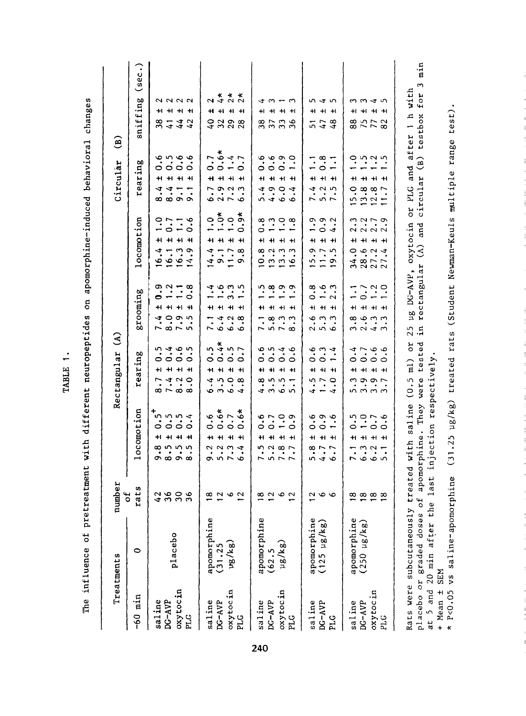|           | Treatments            | number<br>ئە                    |                                                                                        | 3<br>Rectangular                                                                                  |                                                                                            |                                                                                                                           | Circular                                                                                                                                                                                                                    | ම                                 |
|-----------|-----------------------|---------------------------------|----------------------------------------------------------------------------------------|---------------------------------------------------------------------------------------------------|--------------------------------------------------------------------------------------------|---------------------------------------------------------------------------------------------------------------------------|-----------------------------------------------------------------------------------------------------------------------------------------------------------------------------------------------------------------------------|-----------------------------------|
| $-60$ min | $\circ$               | rats                            | locomotion                                                                             | earing<br>. н                                                                                     | grooming                                                                                   | locomotion                                                                                                                | rearing                                                                                                                                                                                                                     | (sec.)<br>sniffing                |
| saline    |                       | <b>488</b>                      | ïη,<br>0<br>+1<br><b>∞ ທ ທ</b><br><b>၈ ∞ ၈ ∞</b>                                       | n 4 9 m<br>0 0 0 0<br>+1<br>r<br>$\infty \sim \infty$ $\infty$                                    | Φ<br>$\bullet$<br>$7.875$<br>$7.875$                                                       | $\frac{0}{1}$<br>H<br>$\ddot{\cdot}$<br>$\frac{6}{1}$                                                                     | 0<br>+1<br>÷.<br>$\infty$                                                                                                                                                                                                   | +1<br>38                          |
| DC-AVP    | placebo               |                                 | 5<br>5<br>5<br>5<br>4<br>5<br>$\circ$ $\circ$<br>$+$ $+$                               | +1 +1<br>4.2                                                                                      | $\frac{3}{1}$<br>+1 +1 +1                                                                  | $\frac{1}{1}$ .<br>$+ +$<br>16.3                                                                                          | ه به به ب<br>ب<br>$\circ \circ \circ$<br>+ + +<br>$\frac{4}{8}$ $\frac{1}{8}$ $\frac{1}{8}$                                                                                                                                 | 2222<br>$+1 + 1$<br>$\frac{1}{4}$ |
| oxytocin  |                       |                                 |                                                                                        |                                                                                                   |                                                                                            |                                                                                                                           |                                                                                                                                                                                                                             | 44                                |
| PLG       |                       | 36                              | $\circ$<br>$\ddot{}$<br>ທ                                                              | $+$<br>$\circ$                                                                                    | $\ddot{\circ}$<br>$\circ$<br>- 44                                                          | $\ddot{\bm{\delta}}$<br>0<br>$\overline{\mathbf{H}}$<br>$\ddot{\phantom{0}}$<br>$\sharp$                                  |                                                                                                                                                                                                                             | $+1$<br>$\overline{a}$            |
| saline    |                       |                                 | o<br>0<br>+1<br>2                                                                      | m<br>$\circ$<br>41                                                                                | r                                                                                          | 0<br>H<br>ෑ<br>$\frac{4}{1}$                                                                                              | 0                                                                                                                                                                                                                           | $\frac{6}{4}$                     |
| DG-AVP    | apomorphine<br>(31.25 |                                 | $0.5*$<br>$0.5*$<br>$+1$<br>$\ddot{2}$ $\ddot{2}$ $\ddot{4}$                           | $0.4*$<br>$0.5$<br>$0.7$<br>$+1$<br>$\begin{array}{c} 4 & 0 & 0 & 0 \\ 0 & 0 & 0 & 4 \end{array}$ | $\frac{4}{10}$ $\frac{1}{10}$ $\frac{1}{10}$<br>+ + + +                                    | $\ddot{}$<br>7.78                                                                                                         | ×<br>$-9.47$<br>$\circ$ $\sim$<br><b>+1 +1 +1</b><br>$\frac{1}{6}$<br>$\frac{3}{2}$<br>$\frac{5}{2}$<br>$\frac{3}{2}$<br>$\frac{3}{2}$<br>$\frac{3}{2}$<br>$\frac{3}{2}$<br>$\frac{3}{2}$<br>$\frac{3}{2}$<br>$\frac{3}{2}$ | 2 * * *<br>2 4 2 2<br>+ + +       |
| oxytocin  | ug/kg)                |                                 | $+$ $+$                                                                                | $+1$                                                                                              | 4.38                                                                                       | $\begin{array}{c}\n 5 & 0 & 5 \\ - & 0 & 5 \\ \hline\n 0 & 0 & 7\n \end{array}$<br>$+1$                                   |                                                                                                                                                                                                                             | 388                               |
| PLG       |                       |                                 |                                                                                        |                                                                                                   |                                                                                            | $\ddot{}$                                                                                                                 | 0                                                                                                                                                                                                                           | $\overline{\mathbf{H}}$           |
| saline    | apomorphine           |                                 | 0<br>H                                                                                 | 0<br>+1<br>∞                                                                                      | +1<br>7.1                                                                                  | $\circ$<br>+1<br>œ.<br>$\supseteq$                                                                                        | 0<br>$\mathbf{H}$<br>ヰ<br>ທັ                                                                                                                                                                                                | +I<br>38                          |
| $DC-AVP$  | (62.5                 |                                 |                                                                                        |                                                                                                   | 5.3                                                                                        | $\overline{a}$                                                                                                            |                                                                                                                                                                                                                             |                                   |
| oxytocin  | $\mu g / k g)$        | $\frac{1}{2}$ $\alpha$ $\alpha$ | $\ddot{\cdot}$<br>$\circ$ $-$<br>11 11 11<br>$n \alpha \omega \wedge$<br>5.5.7         | 6.14.6<br>$\circ \circ \circ$<br>$+1 + 1 + 1$<br>$\therefore$<br>4 m w m                          | ن ن ن ه ن<br>$+1 + 1 + 1 +$                                                                | $\ddot{\dot{\alpha}}$ $\dot{\omega}$ $\dot{\dot{\alpha}}$ $\ddot{\dot{\alpha}}$<br>$+1 + 1 + 1$<br>ີ $\ddot{a}$ ຕໍ<br>229 | $\ddot{\circ}$ $\ddot{\circ}$ $\ddot{\circ}$<br>$\circ$<br>3004                                                                                                                                                             | 4313<br>+1 +1 +1<br>37.38         |
| PLG       |                       |                                 | $\circ$                                                                                |                                                                                                   | ç<br>$\infty$                                                                              | $\overline{\phantom{0}}$                                                                                                  | $\overline{\phantom{0}}$                                                                                                                                                                                                    |                                   |
| saline    | apomorphine           |                                 | 0                                                                                      | 4                                                                                                 |                                                                                            | $\overline{\phantom{0}}$                                                                                                  |                                                                                                                                                                                                                             | +1<br>5                           |
| $DC-AVP$  | $(125 \mu g/kg)$      | $\sim$ 0                        | نۍ نه<br>$\circ$<br>+1 +1 +1<br>$\frac{1}{2}$<br>546                                   | $\dot{\phi}$ $\dot{\omega}$ $\dot{\tau}$<br>00<br>+1 +1 +1<br>i,<br>$\overline{\phantom{0}}$      | $\frac{8}{9}$ + $\frac{6}{9}$ + $\frac{3}{9}$<br>+1 +1 +1<br>enia<br>Sino                  | $\circ$ $\circ$ $\circ$<br>$\circ$<br>+1 +1 +1<br>ה ה<br>1519                                                             | $\vec{a}$<br>$\circ$<br><b>+1 +1 +1</b><br>$7.3 - 7.5$                                                                                                                                                                      | いしつ<br>$+1$<br>47                 |
| PLG       |                       |                                 | $\overline{\phantom{0}}$<br>$\overline{ }$                                             | $\overline{\phantom{0}}$<br>$\circ$<br>$\overline{v}$                                             |                                                                                            | $\overline{4}$<br>LO <sub>1</sub>                                                                                         | $\overline{\phantom{a}}$                                                                                                                                                                                                    | $+1$<br>$\frac{3}{4}$             |
| saline    | apomorphine           |                                 | 0                                                                                      | 0                                                                                                 |                                                                                            | H<br>0<br>34                                                                                                              | ٠<br>+1<br>$\circ$<br>$\tilde{\mathbf{Q}}$                                                                                                                                                                                  | +ı                                |
| DG-AVP    | $(250 \mu g/kg)$      |                                 | $\overline{\phantom{m}}$<br>$\frac{1}{2}$                                              |                                                                                                   |                                                                                            |                                                                                                                           | $\bullet$                                                                                                                                                                                                                   |                                   |
| oxytocin  |                       | ထေထထထ                           | $\begin{array}{c} 0.0000 \\ 0.0000 \\ \end{array}$<br>$\circ$<br>+ + + +<br><b>KOO</b> | ن ن ن ن <i>+</i><br>$\circ \circ \circ$<br>+ + + +<br>ن ف ف ف<br>nnnn                             | $\frac{7}{1}$<br>$\frac{3}{1}$<br>$\frac{3}{1}$<br>+1 +1 +1 +1<br>a in in in<br>a in in in | う279<br>2222<br>+1 +1 +1<br>.94<br>$28$<br>$27$                                                                           | 0525<br>$\bullet$<br><b>+1 +1 +1</b><br>$13.8$<br>$11.7$                                                                                                                                                                    | ううすう<br>$H$ $H$ $H$<br>82728      |
| PLG       |                       |                                 | $\circ$                                                                                |                                                                                                   |                                                                                            |                                                                                                                           |                                                                                                                                                                                                                             |                                   |

TABLE 1.

TABLE 1.

placebo or graded doses of apomorphine. They were tested in rectangular (A) and circular (B) testbox for 3 min placebo or graded doses of apomorphine. They were tested in rectangular (A) and circular (B) testbox for at 5 and 20 min after the last injection respectively.<br>+ Mean + SEM<br>\* P<0.05 vs saline-apomorphine (31.25 µg/kg) trea

at 5 and 20 min after the last injection respectively. + Mean + SEM

\* P<O.05 **VS** saline-apomorphine (31.25 ug/kg) treated rats (Student Newman-Keuls multiple range test).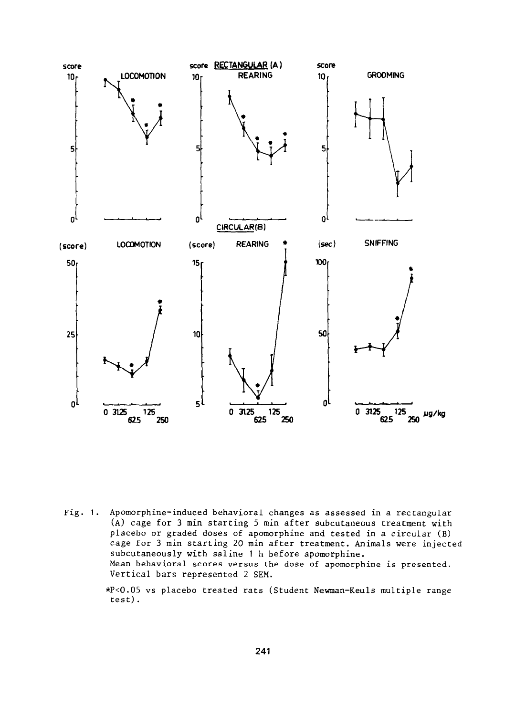

Fig. 1. Apomorphine-induced behavioral changes as assessed in a rectangular (A) cage for 3 min starting 5 min after subcutaneous treatment with placebo or graded doses of apomorphine and tested in a circular (B) cage for 3 min starting 20 min after treatment. Animals were injected subcutaneously with saline 1 h before apomorphine. Mean behavioral scores versus the dose of apomorphine is presented. Vertical bars represented 2 SEM.

> \*PiO.O5 **vs** placebo treated rats (Student Newman-Keuls multiple range test).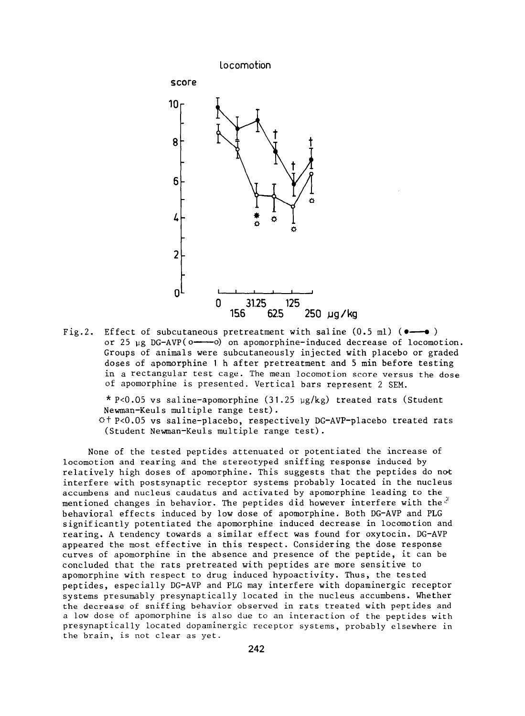

Fig.2. Effect of subcutaneous pretreatment with saline  $(0.5 \text{ ml})$  ( $\bullet$ — $\bullet$ ) or 25  $\mu$ g DG-AVP( $o \rightarrow 0$ ) on apomorphine-induced decrease of locomotion. Groups of animals were subcutaneously injected with placebo or graded doses of apomorphine 1 h after pretreatment and 5 min before testing in a rectangular test cage. The mean locomotion score versus the dose of apomorphine is presented. Vertical bars represent 2 SEM.

 $*$  P<0.05 vs saline-apomorphine (31.25 µg/kg) treated rats (Student Newman-Keuls multiple range test).

 $A + P < 0.05$  vs saline-placebo, respectively DG-AVP-placebo treated rats (Student Newman-Keuls multiple range test).

None of the tested peptides attenuated or potentiated the increase of locomotion and rearing and the stereotyped sniffing response induced by relatively high doses of apomorphine. This suggests that the peptides do not interfere with postsynaptic receptor systems probably located in the nucleus accumbens and nucleus caudatus and activated by apomorphine leading to the mentioned changes in behavior. The peptides did however interfere with the. $\vec{r}$ behavioral effects induced by low dose of apomorphine. Both DG-AVP and PLG significantly potentiated the apomorphine induced decrease in locomotion and rearing. A tendency towards a similar effect was found for oxytocin. DG-AVP appeared the most effective in this respect. Considering the dose response curves of apomorphine in the absence and presence of the peptide, it can be concluded that the rats pretreated with peptides are more sensitive to apomorphine with respect to drug induced hypoactivity. Thus, the tested peptides, especially DG-AVP and PLG may interfere with dopaminergic receptor systems presumably presynaptically located in the nucleus accumbens. Whether the decrease of sniffing behavior observed in rats treated with peptides and a low dose of apomorphine is also due to an interaction of the peptides with presynaptically located dopaminergic receptor systems, probably elsewhere in the brain, is not clear as yet.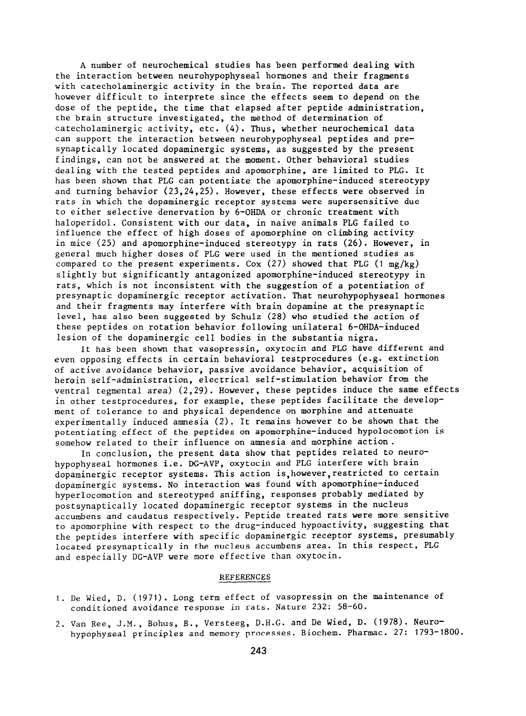A number of neurochemical studies has been performed dealing with the interaction between neurohypophyseal hormones and their fragments with catecholaminergic activity in the brain. The reported data are however difficult to interprete since the effects seem to depend on the dose of the peptide, the time that elapsed after peptide administration, the brain structure investigated, the method of determination of catecholaminergic activity, etc. (4). Thus, whether neurochemical data can support the interaction between neurohypophyseal peptides and presynaptically located dopaminergic systems, as suggested by the present findings, can not be answered at the moment. Other behavioral studies dealing with the tested peptides and apomorphine, are limited to PLG. It has been shown that PLG can potentiate the apomorphine-induced stereotypy and turning behavior (23,24,25). However, these effects were observed in rats in which the dopaminergic receptor systems were supersensitive due to either selective denervation by 6-OHDA or chronic treatment with haloperidol. Consistent with our data, in naive animals PLG failed to influence the effect of high doses of apomorphine on climbing activity in mice (25) and apomorphine-induced stereotypy in rats (26). However, in general much higher doses of PLG were used in the mentioned studies as compared to the present experiments. Cox (27) showed that PLG (1 mg/kg) slightly but significantly antagonized apomorphine-induced stereotypy in rats, which is not inconsistent with the suggestion of a potentiation of presynaptic dopaminergic receptor activation. That neurohypophyseal hormones and their fragments may interfere with brain dopamine at the presynaptic level, has also been suggested by Schulz (28) who studied the action of these peptides on rotation behavior following unilateral 6-OHDA-induced lesion of the dopaminergic cell bodies in the substantia nigra.

It has been shown that vasopressin, oxytocin and PLG have different and even opposing effects in certain behavioral testprocedures (e.g. extinction of active avoidance behavior, passive avoidance behavior, acquisition of heroin self-administration, electrical self-stimulation behavior from the ventral tegmental area) (2,29). However, these peptides induce the same effects in other testprocedures, for example, these peptides facilitate the development of tolerance to and physical dependence on morphine and attenuate experimentally induced amnesia (2). It remains however to be shown that the potentiating effect of the peptides on apomorphine-induced hypolocomotion is somehow related to their influence on amnesia and morphine action.

In conclusion, the present data show that peptides related to neurohypophyseal hormones i.e. DG-AVP, oxytocin and PLG interfere with brain dopaminergic receptor systems. This action is,however,restricted to certain dopaminergic systems. No interaction was found with apomorphine-induced hyperlocomotion and stereotyped sniffing, responses probably mediated by postsynaptically located dopaminergic receptor systems in the nucleus accumbens and caudatus respectively. Peptide treated rats were more sensitive to apomorphine with respect to the drug-induced hypoactivity, suggesting that the peptides interfere with specific dopaminergic receptor systems, presumably located presynaptically in the nucleus accumbens area. In this respect, PLG and especially DG-AVP were more effective than oxytocin.

## REFERENCES

- 1. De Wied, D. (1971). Long term effect of vasopressin on the maintenance of conditioned avoidance response in rats. Nature 232: 58-60.
- 2. Van Ree, **J.M.,** Bohus, B., Versteeg, D.H.G. and De Wied, D. (1978). Neurohypophyseal principles and memory processes. Biochem. Pharmac. 27: 1793-1800.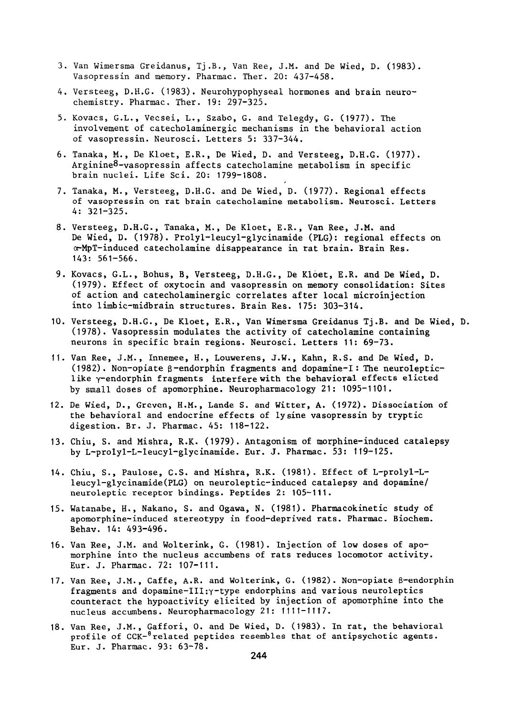- 3. Van Wimersma Greidanus, Tj.B., Van Ree, J.M. and De Wied, D. (1983). Vasopressin and memory. Pharmac. Ther. 20: 437-458.
- 4. Versteeg, D.H.G. (1983). Neurohypophyseal hormones and brain neurochemistry. Pharmac. Ther. 19: 297-325.
- 5. Kovacs, G.L., Vecsei, L., Szabo, G. and Telegdy, G. (1977). The involvement of catecholaminergic mechanisms in the behavioral action of vasopressin. Neurosci. Letters 5: 337-344.
- 6. Tanaka, M., De Kloet, E.R., De Wied, D. and Versteeg, D.H.G. (1977). Arginine8-vasopressin affects catecholamine metabolism in specific brain nuclei. Life Sci. 20: **1799-1808.**
- 7. Tanaka, M., Versteeg, D.H.G. and De Wied, D. (1977). Regional effects of vasopressin on rat brain catecholamine metabolism. Neurosci. Letters 4: 321-325.
- 8. Versteeg, D.H.G., Tanaka, M., De Kloet, E.R., Van Ree, J.M. and De Wied, D. (1978). Prolyl-leucyl-glycinamide (PLG): regional effects on a-MpT-induced catecholamine disappearance in rat brain. Brain Res. 143: 561-566.
- 9. Kovacs, G.L., Bohus, B, Versteeg, D.H.G., De Kloet, E.R. and De Wied, D. (1979). Effect of oxytocin and vasopressin on memory consolidation: Sites of action and catecholaminergic correlates after local microinjection into limbic-midbrain structures. Brain Res. **175: 303-314.**
- **10.** Versteeg, D.H.G., De Kloet, E.R., Van Wimersma Greidanus Tj.B. and De Wied, D. (1978). Vasopressin modulates the activity of catecholamine containing neurons in specific brain regions. Neurosci. Letters **11: 69-73.**
- **11.** Van Ree, J.M., Innemee, H., Louwerens, J.W., Kahn, R.S. and De Wied, D. (1982). Non-opiate  $\beta$ -endorphin fragments and dopamine-I: The neurolepticlike y-endorphin fragments interferewith the behavioral effects elicted by small doses of apomorphine. Neuropharmacology 21: **1095-1101.**
- **12.** De Wied, D., Greven, H.M., Lande S. and Witter, A. (1972). Dissociation of the behavioral and endocrine effects of lysine vasopressin by tryptic digestion. Br. J. Pharmac. 45: 118-122.
- 13. Chiu, S. and Mishra, R.K. (1979). Antagonism of morphine-induced catalepsy by L-prolyl-L-leucyl-glycinamide. Eur. J. Pharmac. 53: 119-125.
- 14. Chiu, S., Paulose, C.S. and Mishra, R.K. **(1981).** Effect of L-prolyl-Lleucyl-glycinamide(PLG) on neuroleptic-induced catalepsy and dopamine/ neuroleptic receptor bindings. Peptides 2: 105-111.
- 15. Watanabe, H., Nakano, S. and Ogawa, N. (1981). Pharmacokinetic study of apomorphine-induced stereotypy in food-deprived rats. Pharmac. Biochem. Behav. 14: 493-496.
- 16. Van Ree, J.M. and Wolterink, G. **(1981).** Injection of low doses of apomorphine into the nucleus accumbens of rats reduces locomotor activity. Eur. J. Pharmac. 72: 107-111.
- 17. Van Ree, J.M., Caffe, A.R. and Wolterink, G. (1982). Non-opiate ß-endorphin fragments and dopamine-III: $\gamma$ -type endorphins and various neuroleptics counteract the hypoactivity elicited by injection of apomorphine into the nucleus accumbens. Neuropharmacology 21: 1111-1117.
- 18. Van Ree, J.M., Gaffori, 0. and De Wied, D. (1983). In rat, the behavioral profile of CCK-<sup>8</sup> related peptides resembles that of antipsychotic agents. Eur. J. Pharmac. 93: **63-78.**